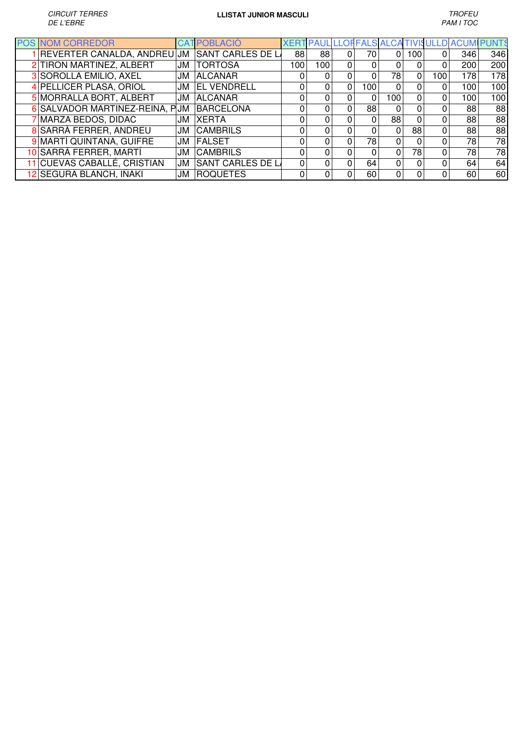| <b>POS NOM CORREDOR</b>        |    | <b>CAT POBLACIÓ</b> |     | XERT PAUL LLOFFALS ALCATIVISULLD ACU |   |          |          |          |     |     |     |
|--------------------------------|----|---------------------|-----|--------------------------------------|---|----------|----------|----------|-----|-----|-----|
| REVERTER CANALDA, ANDREU JM    |    | SANT CARLES DE L    | 88  | 88                                   |   | 70       | 0        | 100      |     | 346 | 346 |
| 2 TIRON MARTINEZ, ALBERT       | JM | <b>TORTOSA</b>      | 100 | 100                                  | 0 |          | 0        |          |     | 200 | 200 |
| 3 SOROLLA EMILIO, AXEL         | JM | <b>ALCANAR</b>      |     |                                      |   | 0        | 78       | 0        | 100 | 178 | 178 |
| 4 PELLICER PLASA, ORIOL        | JM | <b>EL VENDRELL</b>  |     |                                      | 0 | 100      | 0        |          |     | 100 | 100 |
| 5 MORRALLA BORT, ALBERT        | JM | <b>ALCANAR</b>      | O   |                                      |   | $\Omega$ | 100      | $\Omega$ |     | 100 | 100 |
| 6 SALVADOR MARTINEZ-REINA, PUM |    | <b>BARCELONA</b>    | 0   |                                      |   | 88       | 0        | 0        |     | 88  | 88  |
| 7 MARZA BEDOS, DIDAC           | JM | <b>XERTA</b>        |     |                                      |   | $\Omega$ | 88       | O        |     | 88  | 88  |
| 8 SARRÀ FERRER, ANDREU         | JM | <b>CAMBRILS</b>     |     |                                      |   | 0        | 0        | 88       |     | 88  | 88  |
| 9 MARTÍ QUINTANA, GUIFRE       | JM | FALSET              | 0   |                                      |   | 78       | 0        | $\Omega$ |     | 78  | 78  |
| 10 SARRÀ FERRER, MARTÍ         | JM | <b>CAMBRILS</b>     | 0   |                                      |   | $\Omega$ | 0        | 78       |     | 78  | 78  |
| 11 CUEVAS CABALLÉ, CRISTIAN    | JM | SANT CARLES DE L    | 0   |                                      |   | 64       | $\Omega$ | $\Omega$ |     | 64  | 64  |
| 12 SEGURA BLANCH, IÑAKI        | JM | <b>ROQUETES</b>     | 0   |                                      |   | 60       | 0        |          |     | 60  | 60  |